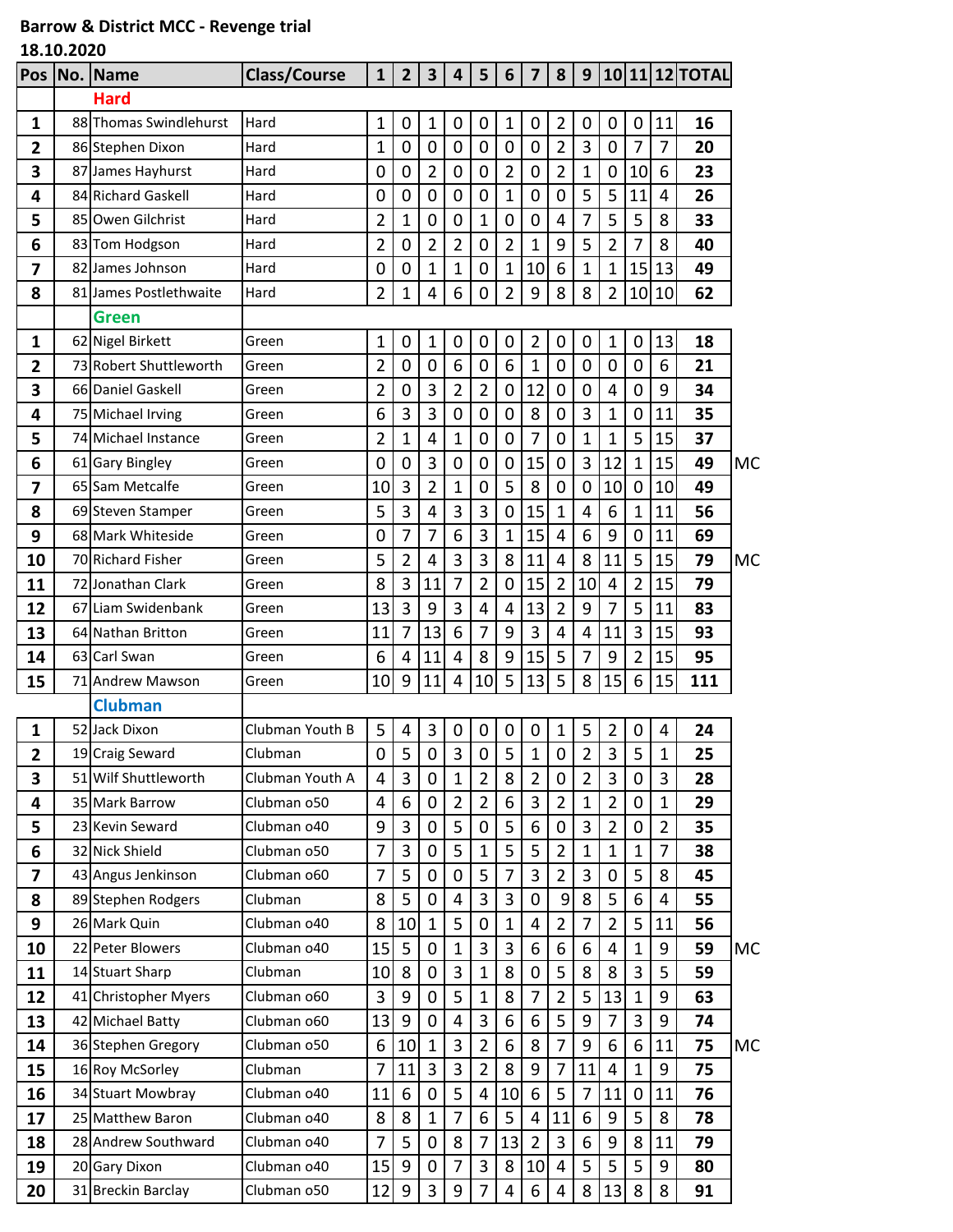## **Barrow & District MCC - Revenge trial**

**18.10.2020**

| <b>Pos</b>              | No. Name                                | <b>Class/Course</b>            | $\mathbf{1}$                  | $\overline{2}$   | $\mathbf{3}$   | 4                             | 5                                | 6              | $\overline{\mathbf{z}}$ | 8                   | 9                                |                   |                            |                  | 10 11 12 TOTAL |           |
|-------------------------|-----------------------------------------|--------------------------------|-------------------------------|------------------|----------------|-------------------------------|----------------------------------|----------------|-------------------------|---------------------|----------------------------------|-------------------|----------------------------|------------------|----------------|-----------|
|                         | <b>Hard</b>                             |                                |                               |                  |                |                               |                                  |                |                         |                     |                                  |                   |                            |                  |                |           |
| 1                       | 88 Thomas Swindlehurst                  | Hard                           | 1                             | 0                | $\mathbf{1}$   | 0                             | 0                                | 1              | 0                       | 2                   | 0                                | 0                 | $\mathbf 0$                | 11               | 16             |           |
| $\overline{2}$          | 86 Stephen Dixon                        | Hard                           | $\overline{1}$                | 0                | $\mathbf 0$    | $\mathbf 0$                   | $\pmb{0}$                        | $\mathbf 0$    | 0                       | $\overline{2}$      | 3                                | $\mathbf 0$       | $\overline{7}$             | $\overline{7}$   | 20             |           |
| 3                       | 87 James Hayhurst                       | Hard                           | 0                             | 0                | $\overline{2}$ | 0                             | 0                                | $\overline{2}$ | 0                       | $\overline{2}$      | $\mathbf 1$                      | $\mathbf 0$       | 10                         | 6                | 23             |           |
| 4                       | 84 Richard Gaskell                      | Hard                           | $\mathbf 0$                   | $\mathbf 0$      | 0              | $\mathbf 0$                   | $\mathbf 0$                      | $\mathbf 1$    | 0                       | $\mathbf 0$         | 5                                | 5                 | 11                         | 4                | 26             |           |
| 5                       | 85 Owen Gilchrist                       | Hard                           | $\overline{2}$                | 1                | 0              | 0                             | 1                                | 0              | 0                       | 4                   | 7                                | 5                 | 5                          | 8                | 33             |           |
| 6                       | 83 Tom Hodgson                          | Hard                           | $\overline{2}$                | $\mathbf 0$      | $\overline{2}$ | $\overline{c}$                | $\mathbf 0$                      | $\overline{2}$ | $\mathbf 1$             | 9                   | 5                                | $\overline{2}$    | 7                          | 8                | 40             |           |
| 7                       | 82 James Johnson                        | Hard                           | $\mathbf 0$                   | 0                | $\mathbf 1$    | $\mathbf 1$                   | 0                                | $\mathbf 1$    | 10                      | 6                   | $\mathbf 1$                      | 1                 | 15                         | 13               | 49             |           |
| 8                       | 81 James Postlethwaite                  | Hard                           | $\overline{2}$                | 1                | 4              | 6                             | 0                                | $\overline{2}$ | 9                       | 8                   | 8                                | $\overline{2}$    | 10                         | 10               | 62             |           |
|                         | <b>Green</b>                            |                                |                               |                  |                |                               |                                  |                |                         |                     |                                  |                   |                            |                  |                |           |
| 1                       | 62 Nigel Birkett                        | Green                          | 1                             | 0                | 1              | 0                             | 0                                | 0              | $\overline{2}$          | 0                   | $\pmb{0}$                        | $\mathbf{1}$      | 0                          | 13               | 18             |           |
| 2                       | 73 Robert Shuttleworth                  | Green                          | $\overline{2}$                | 0                | 0              | 6                             | 0                                | 6              | 1                       | $\mathbf 0$         | $\overline{0}$                   | $\mathbf 0$       | $\mathbf 0$                | 6                | 21             |           |
| 3                       | 66 Daniel Gaskell                       | Green                          | $\overline{2}$                | 0                | 3              | 2                             | $\overline{2}$                   | $\mathbf 0$    | 12                      | $\mathbf 0$         | $\mathbf 0$                      | 4                 | $\mathbf 0$                | 9                | 34             |           |
| 4                       | 75 Michael Irving                       | Green                          | 6                             | 3                | 3              | $\mathbf 0$                   | 0                                | 0              | 8                       | 0                   | 3                                | 1                 | 0                          | 11               | 35             |           |
| 5                       | 74 Michael Instance                     | Green                          | $\overline{2}$                | $\overline{1}$   | 4              | $\mathbf 1$                   | $\mathbf 0$                      | $\mathbf 0$    | $\overline{7}$          | $\overline{0}$      | $\mathbf{1}$                     | $\mathbf 1$       | 5                          | 15               | 37             |           |
| 6                       | 61 Gary Bingley                         | Green                          | 0                             | 0                | 3              | $\mathbf 0$                   | 0                                | 0              | 15                      | 0                   | 3                                | 12                | 1                          | 15               | 49             | <b>MC</b> |
| 7                       | 65 Sam Metcalfe                         | Green                          | 10                            | 3                | $\overline{2}$ | $\overline{1}$                | $\mathbf 0$                      | 5              | 8                       | $\mathbf 0$         | $\mathbf 0$                      | 10 <sup>1</sup>   | $\mathbf 0$                | 10               | 49             |           |
| 8                       | 69 Steven Stamper                       | Green                          | 5                             | 3                | 4              | 3                             | 3                                | $\mathbf 0$    | 15                      | $\mathbf{1}$        | $\overline{4}$                   | 6                 | 1                          | 11               | 56             |           |
| 9                       | 68 Mark Whiteside                       | Green                          | 0                             | 7                | 7              | 6                             | 3                                | 1              | 15                      | 4                   | 6                                | 9                 | 0                          | 11               | 69             |           |
| 10                      | 70 Richard Fisher                       | Green                          | 5                             | $\overline{2}$   | 4              | 3                             | 3                                | 8              | 11                      | $\overline{4}$      | 8                                | 11                | 5                          | 15               | 79             | <b>MC</b> |
| 11                      | 72 Jonathan Clark                       | Green                          | 8                             | 3                | 11             | 7                             | 2                                | 0              | 15                      | $\overline{2}$      | 10                               | 4                 | $\overline{2}$             | 15               | 79             |           |
| 12                      | 67 Liam Swidenbank                      | Green                          | 13                            | 3                | 9              | 3                             | $\overline{4}$                   | 4              | 13                      | $\overline{2}$      | 9                                | $\overline{7}$    | 5                          | 11               | 83             |           |
| 13                      | 64 Nathan Britton                       | Green                          | 11                            | 7                | 13             | 6                             | 7                                | 9              | 3                       | 4                   | 4                                | 11                | 3                          | 15               | 93             |           |
| 14                      | 63 Carl Swan                            | Green                          | 6                             | 4                | 11             | 4                             | 8                                | 9              | 15                      | 5                   | 7                                | 9                 | 2                          | 15               | 95             |           |
| 15                      | 71 Andrew Mawson                        | Green                          | 10                            | 9                | 11             | $\overline{4}$                | 10                               | 5              | 13                      | 5                   | 8                                | 15                | 6                          | 15               | 111            |           |
|                         | <b>Clubman</b>                          |                                |                               |                  |                |                               |                                  |                |                         |                     |                                  |                   |                            |                  |                |           |
| 1                       | 52 Jack Dixon                           | Clubman Youth B                | 5                             | 4<br>ц           | 3              | 0                             | 0                                | 0              | 0<br>1                  | $\mathbf{1}$        | 5                                | $\overline{2}$    | 0<br>ц                     | 4                | 24             |           |
| 2                       | 19 Craig Seward<br>51 Wilf Shuttleworth | Clubman                        | $\mathbf 0$<br>$\overline{4}$ | ر<br>3           | $\pmb{0}$      | 3                             | $\pmb{0}$                        | 5<br>8         | $\overline{2}$          | $\mathbf 0$<br>0    | $\overline{2}$<br>$\overline{2}$ | $\mathbf{3}$<br>3 | J                          | $\mathbf 1$<br>3 | 25             |           |
| 3                       | 35 Mark Barrow                          | Clubman Youth A<br>Clubman o50 | 4                             | 6                | 0<br>0         | $\mathbf 1$<br>$\overline{2}$ | $\overline{2}$<br>$\overline{2}$ | 6              | 3                       | $\overline{2}$      | $\mathbf{1}$                     | $\overline{2}$    | $\mathbf 0$<br>$\mathbf 0$ | $\mathbf{1}$     | 28<br>29       |           |
| 4                       | 23 Kevin Seward                         | Clubman 040                    | 9                             | 3                | 0              | 5                             | 0                                | 5              | 6                       |                     | 3                                | $\overline{2}$    | 0                          | $\overline{2}$   | 35             |           |
| 5<br>6                  | 32 Nick Shield                          | Clubman o50                    | 7                             | 3                | 0              | 5                             | $\mathbf{1}$                     | 5              | 5                       | 0<br>$\overline{2}$ | $\mathbf{1}$                     | $\mathbf{1}$      | $\mathbf{1}$               | $\overline{7}$   | 38             |           |
| $\overline{\mathbf{z}}$ | 43 Angus Jenkinson                      | Clubman 060                    | 7                             | 5                | 0              | 0                             | 5                                | 7              | 3                       | $\overline{2}$      | 3                                | $\mathbf 0$       | 5                          | 8                | 45             |           |
| 8                       | 89 Stephen Rodgers                      | Clubman                        | 8                             | 5                | 0              | 4                             | 3                                | 3              | 0                       | 9                   | 8                                | 5                 | 6                          | 4                | 55             |           |
| 9                       | 26 Mark Quin                            | Clubman 040                    | 8                             | 10               | $\mathbf{1}$   | 5                             | $\mathbf 0$                      | $\mathbf{1}$   | 4                       | $\overline{2}$      | $\overline{7}$                   | $\overline{2}$    | 5                          | 11               | 56             |           |
| 10                      | 22 Peter Blowers                        | Clubman 040                    | 15                            | 5                | 0              | $\mathbf{1}$                  | 3                                | 3              | 6                       | 6                   | 6                                | 4                 | 1                          | 9                | 59             | МC        |
| 11                      | 14 Stuart Sharp                         | Clubman                        | 10                            | 8                | 0              | 3                             | $\mathbf{1}$                     | 8              | 0                       | 5                   | 8                                | 8                 | 3                          | 5                | 59             |           |
| 12                      | 41 Christopher Myers                    | Clubman 060                    | 3                             | 9                | 0              | 5                             | $\mathbf{1}$                     | 8              | 7                       | $\overline{2}$      | 5                                | 13                | $\mathbf{1}$               | 9                | 63             |           |
| 13                      | 42 Michael Batty                        | Clubman 060                    | 13                            | 9                | 0              | 4                             | 3                                | 6              | 6                       | 5                   | 9                                | 7                 | 3                          | 9                | 74             |           |
| 14                      | 36 Stephen Gregory                      | Clubman o50                    | 6                             | 10               | $\mathbf{1}$   | 3                             | $\overline{2}$                   | 6              | 8                       | $\overline{7}$      | 9                                | 6                 | 6                          | 11               | 75             | МC        |
| 15                      | 16 Roy McSorley                         | Clubman                        | 7                             | 11               | 3              | 3                             | $\overline{2}$                   | 8              | 9                       | 7                   | 11                               | 4                 | 1                          | 9                | 75             |           |
| 16                      | 34 Stuart Mowbray                       | Clubman 040                    | 11                            | $\boldsymbol{6}$ | $\mathbf 0$    | 5                             | $\overline{4}$                   | 10             | 6                       | 5                   | $\overline{7}$                   | 11                | $\pmb{0}$                  | 11               | 76             |           |
| 17                      | 25 Matthew Baron                        | Clubman 040                    | 8                             | 8                | $\mathbf{1}$   | 7                             | 6                                | 5              | 4                       | 11                  | 6                                | 9                 | 5                          | 8                | 78             |           |
| 18                      | 28 Andrew Southward                     | Clubman 040                    | 7                             | 5                | 0              | 8                             | 7                                | 13             | $\overline{2}$          | 3                   | 6                                | 9                 | 8                          | 11               | 79             |           |
| 19                      | 20 Gary Dixon                           | Clubman 040                    | 15                            | 9                | $\pmb{0}$      | $\overline{7}$                | 3                                | 8              | 10                      | $\overline{4}$      | 5                                | 5                 | 5                          | 9                | 80             |           |
| 20                      | 31 Breckin Barclay                      | Clubman o50                    | 12                            | $\boldsymbol{9}$ | 3              | 9                             | 7                                | 4              | 6                       | 4                   | 8                                | 13                | 8                          | 8                | 91             |           |